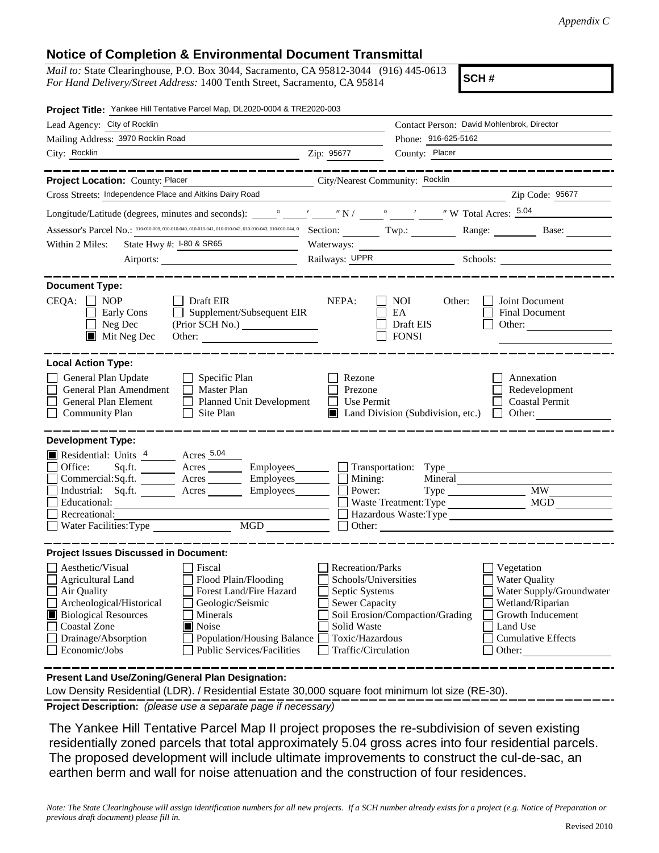## **Notice of Completion & Environmental Document Transmittal**

*Mail to:* State Clearinghouse, P.O. Box 3044, Sacramento, CA 95812-3044 (916) 445-0613 *For Hand Delivery/Street Address:* 1400 Tenth Street, Sacramento, CA 95814

**SCH #**

| Project Title: Yankee Hill Tentative Parcel Map, DL2020-0004 & TRE2020-003                                                                                                                                                                                                                                                                                            |                                                                                                                                                     |                                                                                                                                                                                               |  |
|-----------------------------------------------------------------------------------------------------------------------------------------------------------------------------------------------------------------------------------------------------------------------------------------------------------------------------------------------------------------------|-----------------------------------------------------------------------------------------------------------------------------------------------------|-----------------------------------------------------------------------------------------------------------------------------------------------------------------------------------------------|--|
| Lead Agency: City of Rocklin                                                                                                                                                                                                                                                                                                                                          |                                                                                                                                                     | Contact Person: David Mohlenbrok, Director                                                                                                                                                    |  |
| Mailing Address: 3970 Rocklin Road                                                                                                                                                                                                                                                                                                                                    |                                                                                                                                                     | Phone: 916-625-5162                                                                                                                                                                           |  |
| City: Rocklin<br><u> 1989 - Johann Barn, fransk politik amerikansk politik (d. 1989)</u>                                                                                                                                                                                                                                                                              | Zip: 95677                                                                                                                                          | County: Placer                                                                                                                                                                                |  |
|                                                                                                                                                                                                                                                                                                                                                                       |                                                                                                                                                     |                                                                                                                                                                                               |  |
| Project Location: County: Placer<br>City/Nearest Community: Rocklin                                                                                                                                                                                                                                                                                                   |                                                                                                                                                     |                                                                                                                                                                                               |  |
| Cross Streets: Independence Place and Aitkins Dairy Road                                                                                                                                                                                                                                                                                                              |                                                                                                                                                     | Zip Code: 95677                                                                                                                                                                               |  |
|                                                                                                                                                                                                                                                                                                                                                                       |                                                                                                                                                     |                                                                                                                                                                                               |  |
| Assessor's Parcel No.: 010-010-009, 010-010-040, 010-010-041, 010-010-042, 010-010-043, 010-010-044, 0 Section: _______ Twp.: _______                                                                                                                                                                                                                                 |                                                                                                                                                     | Range: Base:                                                                                                                                                                                  |  |
| State Hwy #: 1-80 & SR65<br>Within 2 Miles:                                                                                                                                                                                                                                                                                                                           | Waterways:                                                                                                                                          |                                                                                                                                                                                               |  |
|                                                                                                                                                                                                                                                                                                                                                                       |                                                                                                                                                     |                                                                                                                                                                                               |  |
| <b>Document Type:</b><br>$CEQA: \Box NOP$<br>$\Box$ Draft EIR<br>Supplement/Subsequent EIR<br>Early Cons<br>$\Box$ Neg Dec<br>(Prior SCH No.)<br>$\blacksquare$ Mit Neg Dec                                                                                                                                                                                           | NEPA:                                                                                                                                               | <b>NOI</b><br>Other:<br>Joint Document<br>EA<br><b>Final Document</b><br>Draft EIS<br>Other:<br><b>FONSI</b>                                                                                  |  |
| <b>Local Action Type:</b><br>General Plan Update<br>$\Box$ Specific Plan<br>General Plan Amendment<br>Master Plan<br>$\Box$<br>General Plan Element<br>$\perp$<br><b>Planned Unit Development</b><br>$\Box$ Community Plan<br>Site Plan<br>$\mathbf{L}$                                                                                                               | Rezone<br>Prezone<br>Use Permit                                                                                                                     | Annexation<br>Redevelopment<br><b>Coastal Permit</b><br>Land Division (Subdivision, etc.)<br>Other:<br>$\perp$                                                                                |  |
| <b>Development Type:</b><br>Residential: Units 4 Acres 5.04<br>Employees_______<br>Sq.ft. <u>Acres</u><br>Office:<br>$Commercial:Sq.fit.$ $\overline{\qquad}$ Acres<br>$Employes$ <sub>__________</sub><br>Industrial: Sq.ft. _______ Acres _______<br>Employees________<br>Educational:<br>Recreational:<br>Water Facilities: Type                                   | Mining:<br>Power:                                                                                                                                   | Transportation: Type<br>Mineral<br><b>MW</b><br>Waste Treatment: Type<br><b>MGD</b><br>Hazardous Waste: Type<br>Other:                                                                        |  |
| <b>Project Issues Discussed in Document:</b>                                                                                                                                                                                                                                                                                                                          |                                                                                                                                                     |                                                                                                                                                                                               |  |
| Aesthetic/Visual<br>Fiscal<br>Agricultural Land<br>Flood Plain/Flooding<br>Forest Land/Fire Hazard<br>$\Box$ Air Quality<br>Archeological/Historical<br>Geologic/Seismic<br><b>Biological Resources</b><br>Minerals<br><b>Coastal Zone</b><br>Noise<br>Drainage/Absorption<br><b>Population/Housing Balance</b><br>Economic/Jobs<br><b>Public Services/Facilities</b> | <b>Recreation/Parks</b><br>Schools/Universities<br>Septic Systems<br><b>Sewer Capacity</b><br>Solid Waste<br>Toxic/Hazardous<br>Traffic/Circulation | Vegetation<br><b>Water Quality</b><br>Water Supply/Groundwater<br>Wetland/Riparian<br>Soil Erosion/Compaction/Grading<br>Growth Inducement<br>Land Use<br><b>Cumulative Effects</b><br>Other: |  |

**Present Land Use/Zoning/General Plan Designation:**

Low Density Residential (LDR). / Residential Estate 30,000 square foot minimum lot size (RE-30).

**Project Description:** *(please use a separate page if necessary)*

 The Yankee Hill Tentative Parcel Map II project proposes the re-subdivision of seven existing residentially zoned parcels that total approximately 5.04 gross acres into four residential parcels. The proposed development will include ultimate improvements to construct the cul-de-sac, an earthen berm and wall for noise attenuation and the construction of four residences.